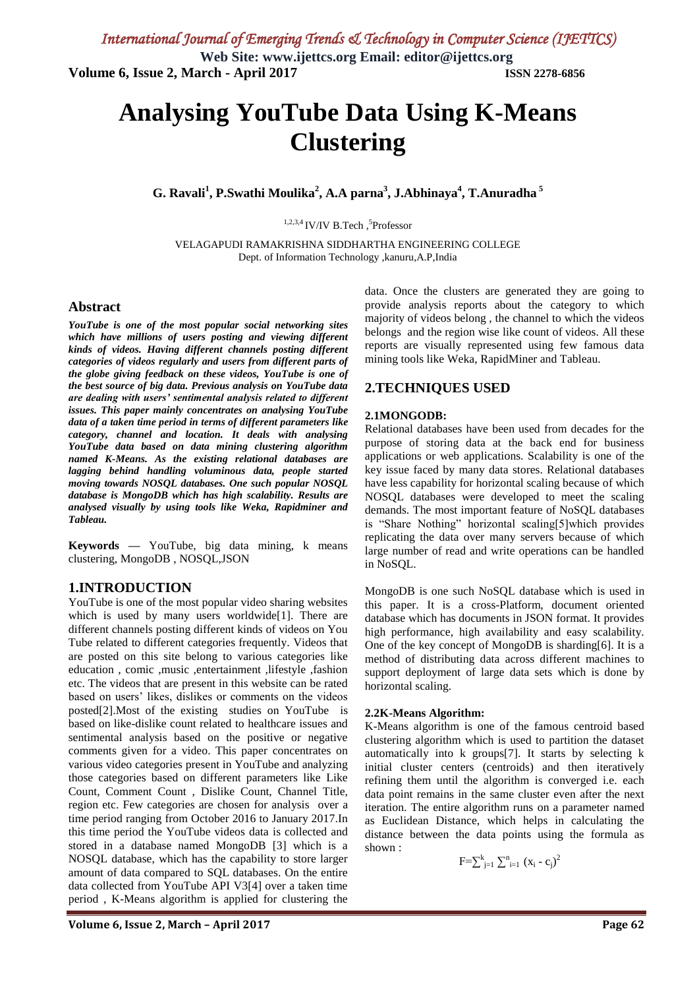# **Analysing YouTube Data Using K-Means Clustering**

**G. Ravali<sup>1</sup> , P.Swathi Moulika<sup>2</sup> , A.A parna<sup>3</sup> , J.Abhinaya<sup>4</sup> , T.Anuradha <sup>5</sup>**

 $1,2,3,4$  IV/IV B.Tech,<sup>5</sup>Professor

VELAGAPUDI RAMAKRISHNA SIDDHARTHA ENGINEERING COLLEGE Dept. of Information Technology ,kanuru,A.P,India

#### **Abstract**

*YouTube is one of the most popular social networking sites which have millions of users posting and viewing different kinds of videos. Having different channels posting different categories of videos regularly and users from different parts of the globe giving feedback on these videos, YouTube is one of the best source of big data. Previous analysis on YouTube data are dealing with users' sentimental analysis related to different issues. This paper mainly concentrates on analysing YouTube data of a taken time period in terms of different parameters like category, channel and location. It deals with analysing YouTube data based on data mining clustering algorithm named K-Means. As the existing relational databases are lagging behind handling voluminous data, people started moving towards NOSQL databases. One such popular NOSQL database is MongoDB which has high scalability. Results are analysed visually by using tools like Weka, Rapidminer and Tableau.* 

**Keywords** *—* YouTube, big data mining, k means clustering, MongoDB , NOSQL,JSON

#### **1.INTRODUCTION**

YouTube is one of the most popular video sharing websites which is used by many users worldwide<sup>[1]</sup>. There are different channels posting different kinds of videos on You Tube related to different categories frequently. Videos that are posted on this site belong to various categories like education , comic ,music ,entertainment ,lifestyle ,fashion etc. The videos that are present in this website can be rated based on users" likes, dislikes or comments on the videos posted[2].Most of the existing studies on YouTube is based on like-dislike count related to healthcare issues and sentimental analysis based on the positive or negative comments given for a video. This paper concentrates on various video categories present in YouTube and analyzing those categories based on different parameters like Like Count, Comment Count , Dislike Count, Channel Title, region etc. Few categories are chosen for analysis over a time period ranging from October 2016 to January 2017.In this time period the YouTube videos data is collected and stored in a database named MongoDB [3] which is a NOSQL database, which has the capability to store larger amount of data compared to SQL databases. On the entire data collected from YouTube API V3[4] over a taken time period , K-Means algorithm is applied for clustering the

data. Once the clusters are generated they are going to provide analysis reports about the category to which majority of videos belong , the channel to which the videos belongs and the region wise like count of videos. All these reports are visually represented using few famous data mining tools like Weka, RapidMiner and Tableau.

#### **2.TECHNIQUES USED**

#### **2.1MONGODB:**

Relational databases have been used from decades for the purpose of storing data at the back end for business applications or web applications. Scalability is one of the key issue faced by many data stores. Relational databases have less capability for horizontal scaling because of which NOSQL databases were developed to meet the scaling demands. The most important feature of NoSQL databases is "Share Nothing" horizontal scaling[5]which provides replicating the data over many servers because of which large number of read and write operations can be handled in NoSQL.

MongoDB is one such NoSQL database which is used in this paper. It is a cross-Platform, document oriented database which has documents in JSON format. It provides high performance, high availability and easy scalability. One of the key concept of MongoDB is sharding[6]. It is a method of distributing data across different machines to support deployment of large data sets which is done by horizontal scaling.

#### **2.2K-Means Algorithm:**

K-Means algorithm is one of the famous centroid based clustering algorithm which is used to partition the dataset automatically into k groups[7]. It starts by selecting k initial cluster centers (centroids) and then iteratively refining them until the algorithm is converged i.e. each data point remains in the same cluster even after the next iteration. The entire algorithm runs on a parameter named as Euclidean Distance, which helps in calculating the distance between the data points using the formula as shown :

$$
F=\sum_{j=1}^{k} \sum_{i=1}^{n} (x_i - c_j)^2
$$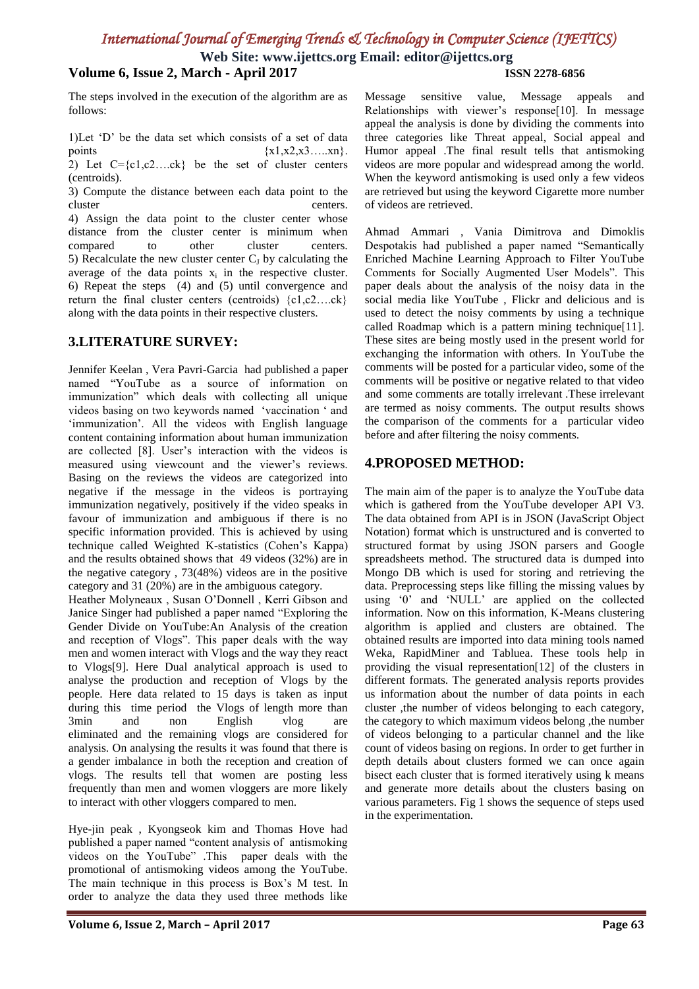# *International Journal of Emerging Trends & Technology in Computer Science (IJETTCS)*

**Web Site: www.ijettcs.org Email: editor@ijettcs.org**

## **Volume 6, Issue 2, March - April 2017 ISSN 2278-6856**

The steps involved in the execution of the algorithm are as follows:

1)Let "D" be the data set which consists of a set of data points  $\{x1, x2, x3, \ldots, xn\}$ . 2) Let  $C = \{c_1, c_2, \ldots, c_k\}$  be the set of cluster centers

(centroids). 3) Compute the distance between each data point to the

centers. 4) Assign the data point to the cluster center whose distance from the cluster center is minimum when compared to other cluster centers. 5) Recalculate the new cluster center  $C_J$  by calculating the average of the data points  $x_i$  in the respective cluster. 6) Repeat the steps (4) and (5) until convergence and return the final cluster centers (centroids) {c1,c2….ck} along with the data points in their respective clusters.

## **3.LITERATURE SURVEY:**

Jennifer Keelan , Vera Pavri-Garcia had published a paper named "YouTube as a source of information on immunization" which deals with collecting all unique videos basing on two keywords named "vaccination " and 'immunization'. All the videos with English language content containing information about human immunization are collected [8]. User's interaction with the videos is measured using viewcount and the viewer's reviews. Basing on the reviews the videos are categorized into negative if the message in the videos is portraying immunization negatively, positively if the video speaks in favour of immunization and ambiguous if there is no specific information provided. This is achieved by using technique called Weighted K-statistics (Cohen"s Kappa) and the results obtained shows that 49 videos (32%) are in the negative category , 73(48%) videos are in the positive category and 31 (20%) are in the ambiguous category.

Heather Molyneaux , Susan O"Donnell , Kerri Gibson and Janice Singer had published a paper named "Exploring the Gender Divide on YouTube:An Analysis of the creation and reception of Vlogs". This paper deals with the way men and women interact with Vlogs and the way they react to Vlogs[9]. Here Dual analytical approach is used to analyse the production and reception of Vlogs by the people. Here data related to 15 days is taken as input during this time period the Vlogs of length more than 3min and non English vlog are eliminated and the remaining vlogs are considered for analysis. On analysing the results it was found that there is a gender imbalance in both the reception and creation of vlogs. The results tell that women are posting less frequently than men and women vloggers are more likely to interact with other vloggers compared to men.

Hye-jin peak , Kyongseok kim and Thomas Hove had published a paper named "content analysis of antismoking videos on the YouTube" .This paper deals with the promotional of antismoking videos among the YouTube. The main technique in this process is Box"s M test. In order to analyze the data they used three methods like Message sensitive value, Message appeals and Relationships with viewer's response[10]. In message appeal the analysis is done by dividing the comments into three categories like Threat appeal, Social appeal and Humor appeal .The final result tells that antismoking videos are more popular and widespread among the world. When the keyword antismoking is used only a few videos are retrieved but using the keyword Cigarette more number of videos are retrieved.

Ahmad Ammari , Vania Dimitrova and Dimoklis Despotakis had published a paper named "Semantically Enriched Machine Learning Approach to Filter YouTube Comments for Socially Augmented User Models". This paper deals about the analysis of the noisy data in the social media like YouTube , Flickr and delicious and is used to detect the noisy comments by using a technique called Roadmap which is a pattern mining technique[11]. These sites are being mostly used in the present world for exchanging the information with others. In YouTube the comments will be posted for a particular video, some of the comments will be positive or negative related to that video and some comments are totally irrelevant .These irrelevant are termed as noisy comments. The output results shows the comparison of the comments for a particular video before and after filtering the noisy comments.

## **4.PROPOSED METHOD:**

The main aim of the paper is to analyze the YouTube data which is gathered from the YouTube developer API V3. The data obtained from API is in JSON (JavaScript Object Notation) format which is unstructured and is converted to structured format by using JSON parsers and Google spreadsheets method. The structured data is dumped into Mongo DB which is used for storing and retrieving the data. Preprocessing steps like filling the missing values by using "0" and "NULL" are applied on the collected information. Now on this information, K-Means clustering algorithm is applied and clusters are obtained. The obtained results are imported into data mining tools named Weka, RapidMiner and Tabluea. These tools help in providing the visual representation[12] of the clusters in different formats. The generated analysis reports provides us information about the number of data points in each cluster ,the number of videos belonging to each category, the category to which maximum videos belong ,the number of videos belonging to a particular channel and the like count of videos basing on regions. In order to get further in depth details about clusters formed we can once again bisect each cluster that is formed iteratively using k means and generate more details about the clusters basing on various parameters. Fig 1 shows the sequence of steps used in the experimentation.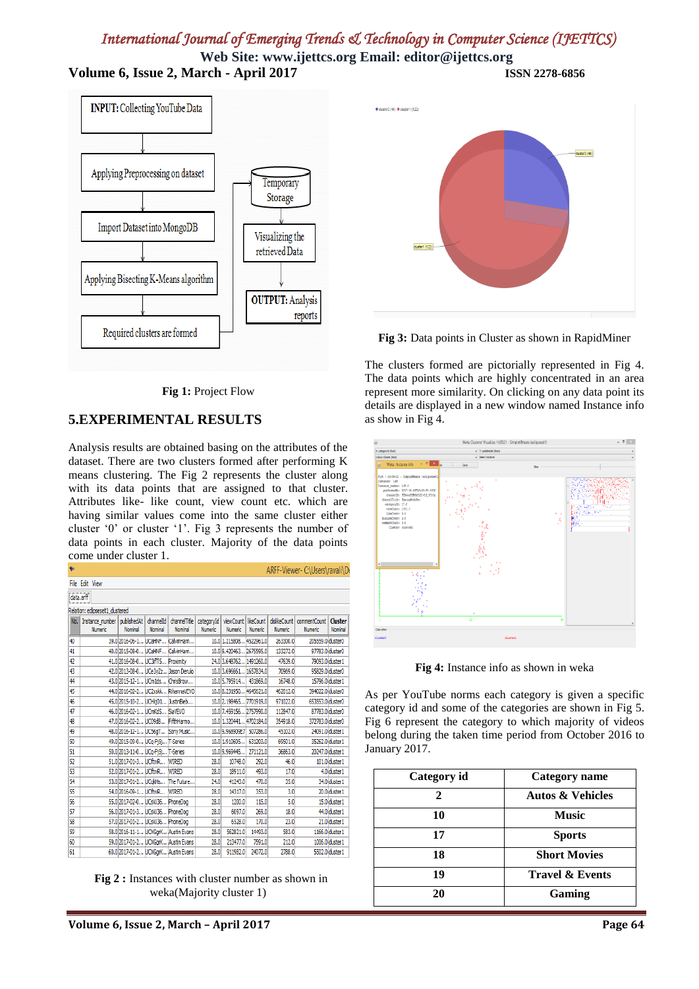# *International Journal of Emerging Trends & Technology in Computer Science (IJETTCS)*

**Web Site: www.ijettcs.org Email: editor@ijettcs.org Volume 6, Issue 2, March - April 2017 ISSN 2278-6856**



**Fig 1:** Project Flow

## **5.EXPERIMENTAL RESULTS**

Analysis results are obtained basing on the attributes of the dataset. There are two clusters formed after performing K means clustering. The Fig 2 represents the cluster along with its data points that are assigned to that cluster. Attributes like- like count, view count etc. which are having similar values come into the same cluster either cluster "0" or cluster "1". Fig 3 represents the number of data points in each cluster. Majority of the data points come under cluster 1.

|     |                                                   |                                      |                      |                                    |                              |                                  |           |                           | ARFF-Viewer- C:\Users\ravali\D |                           |
|-----|---------------------------------------------------|--------------------------------------|----------------------|------------------------------------|------------------------------|----------------------------------|-----------|---------------------------|--------------------------------|---------------------------|
|     | File Edit View                                    |                                      |                      |                                    |                              |                                  |           |                           |                                |                           |
|     | data.arff                                         |                                      |                      |                                    |                              |                                  |           |                           |                                |                           |
|     | Relation: edipseset1 dustered                     |                                      |                      |                                    |                              |                                  |           |                           |                                |                           |
| No. | Instance number   publishedAt  <br><b>Numeric</b> | Nominal                              | channelId<br>Nominal | channelTitle<br>Nominal            | categoryId<br><b>Numeric</b> | viewCount   likeCount<br>Numeric | Numeric   | dislikeCount  <br>Numeric | commentCount<br>Numeric        | <b>Cluster</b><br>Nominal |
| 40  |                                                   | 39.0 2016-06-1 UCaHNF                |                      | CalvinHarri                        |                              | $10.0$ 1.215808                  | 4522961.0 | 263300.0                  | 205559.0 duster0               |                           |
| 41  |                                                   | 40.0 2015-08-0   UCaHNF              |                      | CalvinHarri                        |                              | 10.0 9.420463 2675595.0          |           | 133272.0                  | 97783.0 duster0                |                           |
| 42  |                                                   | 41.0 2016-08-0 UC3ifT15 Proximity    |                      |                                    |                              | 24.0 3.648762 1491260.0          |           | 47639.0                   | 79093.0 duster 1               |                           |
| 43  |                                                   | 42.0 2013-08-0 UCe3vZz Jason Derulo  |                      |                                    |                              | 10.0 3.696661 1657834.0          |           | 70969.0                   | 95829.0 duster0                |                           |
| 44  |                                                   | 43.0 2015-12-1 UCm 1ds ChrisBrow     |                      |                                    |                              | 10.0 5.795914 431869.0           |           | 16748.0                   |                                | 15796.0 duster 1          |
| 45  |                                                   |                                      |                      | 44.0 2016-02-2 UC2xskk RihannaVEVO |                              | 10.0 8.231950 4645621.0          |           | 462012.0                  | 394022.0 cluster0              |                           |
| 46  |                                                   | 45.0 2015-10-2 UCHki01 JustinBieb    |                      |                                    |                              | 10.0 2.198465 7701919.0          |           | 971022.0                  | 653553.0 cluster0              |                           |
| 47  |                                                   | 46.0 2016-02-1 UCmKdS SiaVEVO        |                      |                                    |                              | 10.0 7.459156 2757990.0          |           | 112847.0                  | 87783.0 duster0                |                           |
| 48  |                                                   |                                      |                      | 47.0 2016-02-2 UC09d8 FifthHarmo   |                              | 10.0 1.320441 4702184.0          |           | 354918.0                  | 372783.0 duster0               |                           |
| 49  |                                                   | 48.0 2016-12-1 UC56gT Sony Music     |                      |                                    |                              | 10.0 9.968909E7 507286.0         |           | 45102.0                   | 24091.0 duster 1               |                           |
| 50  |                                                   | 49.0 2015-09-0 UCa-Fi5i T-Series     |                      |                                    |                              | 10.0 1.910605                    | 631203.0  | 69501.0                   | 35262.0 duster 1               |                           |
| 51  |                                                   | 50.0 2013-11-0 UCa-Fi5i T-Series     |                      |                                    |                              | 10.0 9.969445                    | 271121.0  | 36863.0                   | 20247.0 cluster 1              |                           |
| 52  |                                                   | 51.0 2017-01-3 UCftwR                |                      | <b>WIRED</b>                       | 28.0                         | 10748.0                          | 292.0     | 46.0                      |                                | 101.0 duster 1            |
| 53  |                                                   | 52.0 2017-01-2 UCftwR                |                      | WIRED                              | 28.0                         | 18911.0                          | 493.0     | 17.0                      |                                | 4.0 duster 1              |
| 54  |                                                   | 53.0 2017-01-2 UCakHs The Future     |                      |                                    | 24.0                         | 41243.0                          | 470.0     | 35.0                      |                                | 34.0 duster 1             |
| 55  |                                                   | 54.0 2016-09-1 UCftwR                |                      | <b>WIRED</b>                       | 28.0                         | 14317.0                          | 353.0     | 3.0                       |                                | 20.0 duster 1             |
| 56  |                                                   | 55.0 2017-02-0 UCsW36 PhoneDog       |                      |                                    | 28.0                         | 1200.0                           | 115.0     | 5.0                       |                                | 15.0 duster 1             |
| 57  |                                                   | 56.0 2017-01-3 UCsW36 PhoneDog       |                      |                                    | 28.0                         | 6097.0                           | 269.0     | 18.0                      |                                | 44.0 duster 1             |
| 58  |                                                   | 57.0 2017-01-2 UCsW36 PhoneDog       |                      |                                    | 28.0                         | 6528.0                           | 170.0     | 23.0                      |                                | 21.0 duster 1             |
| 59  |                                                   | 58.0 2016-11-1 UCXGqrK Austin Evans  |                      |                                    | 28.0                         | 562821.0                         | 14493.0   | 583.0                     |                                | 1166.0 duster 1           |
| 60  |                                                   | 59.0 2017-01-2 UCXGgrK Austin Evans  |                      |                                    | 28.0                         | 213477.0                         | 7591.0    | 212.0                     |                                | 1006.0 duster 1           |
| 61  |                                                   | 60.0 2017 01-2 LICXGarK Austin Evans |                      |                                    | 28.0                         | 911982.0                         | 24072.0   | 2788.0                    |                                | 5502.0 cluster 1          |

Fig 2 : Instances with cluster number as shown in weka(Majority cluster 1)





**Fig 3:** Data points in Cluster as shown in RapidMiner

The clusters formed are pictorially represented in Fig 4. The data points which are highly concentrated in an area represent more similarity. On clicking on any data point its details are displayed in a new window named Instance info as show in Fig 4.



**Fig 4:** Instance info as shown in weka

As per YouTube norms each category is given a specific category id and some of the categories are shown in Fig 5. Fig 6 represent the category to which majority of videos belong during the taken time period from October 2016 to January 2017.

| Category id | <b>Category</b> name        |
|-------------|-----------------------------|
|             | <b>Autos &amp; Vehicles</b> |
| 10          | <b>Music</b>                |
| 17          | <b>Sports</b>               |
| 18          | <b>Short Movies</b>         |
| 19          | <b>Travel &amp; Events</b>  |
| 20          | Gaming                      |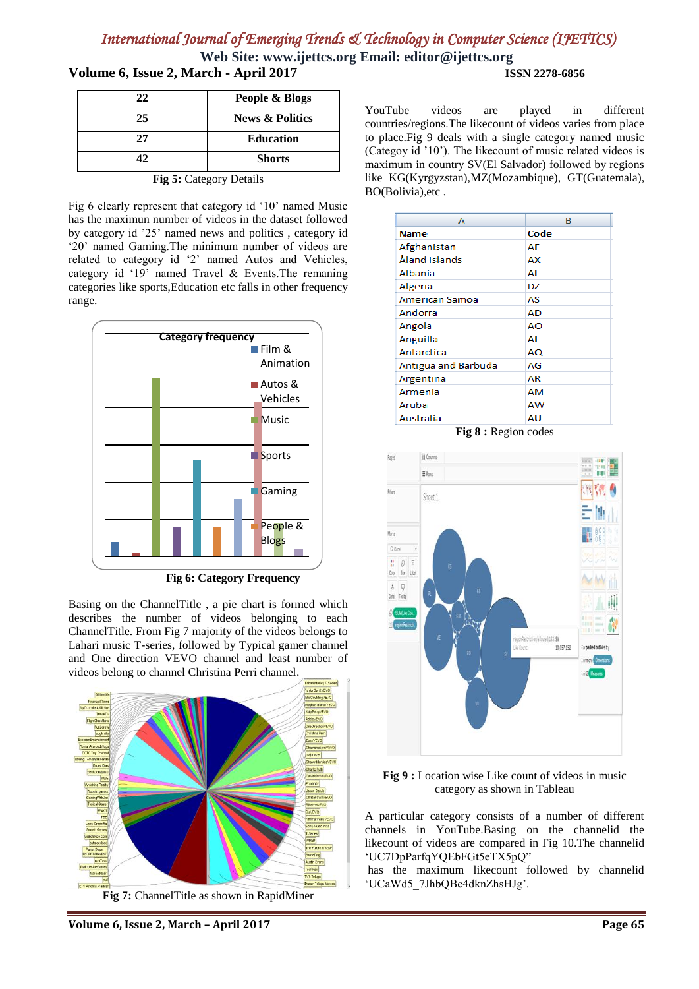# *International Journal of Emerging Trends & Technology in Computer Science (IJETTCS)*

**Web Site: www.ijettcs.org Email: editor@ijettcs.org Volume 6, Issue 2, March - April 2017 ISSN 2278-6856**

| 22                      | People & Blogs             |  |  |
|-------------------------|----------------------------|--|--|
| 25                      | <b>News &amp; Politics</b> |  |  |
| 27                      | <b>Education</b>           |  |  |
| 42.                     | <b>Shorts</b>              |  |  |
| Fig 5: Category Details |                            |  |  |

Fig 6 clearly represent that category id "10" named Music has the maximun number of videos in the dataset followed by category id "25" named news and politics , category id '20' named Gaming. The minimum number of videos are related to category id "2" named Autos and Vehicles, category id "19" named Travel & Events.The remaning categories like sports,Education etc falls in other frequency range.



 **Fig 6: Category Frequency** 

Basing on the ChannelTitle , a pie chart is formed which describes the number of videos belonging to each ChannelTitle. From Fig 7 majority of the videos belongs to Lahari music T-series, followed by Typical gamer channel and One direction VEVO channel and least number of videos belong to channel Christina Perri channel.



**Fig 7:** ChannelTitle as shown in RapidMiner

YouTube videos are played in different countries/regions.The likecount of videos varies from place to place.Fig 9 deals with a single category named music (Categoy id "10"). The likecount of music related videos is maximum in country SV(El Salvador) followed by regions like KG(Kyrgyzstan),MZ(Mozambique), GT(Guatemala), BO(Bolivia),etc .

| А                     | в    |
|-----------------------|------|
| <b>Name</b>           | Code |
| Afghanistan           | AF   |
| Åland Islands         | AХ   |
| Albania               | AL   |
| Algeria               | DZ   |
| <b>American Samoa</b> | AS   |
| Andorra               | AD   |
| Angola                | AO   |
| Anguilla              | ΑI   |
| Antarctica            | AQ   |
| Antigua and Barbuda   | AG   |
| Argentina             | AR   |
| Armenia               | AM   |
| Aruba                 | AW   |
| Australia             | AU   |

**Fig 8 :** Region codes





A particular category consists of a number of different channels in YouTube.Basing on the channelid the likecount of videos are compared in Fig 10.The channelid "UC7DpParfqYQEbFGt5eTX5pQ"

has the maximum likecount followed by channelid "UCaWd5\_7JhbQBe4dknZhsHJg".